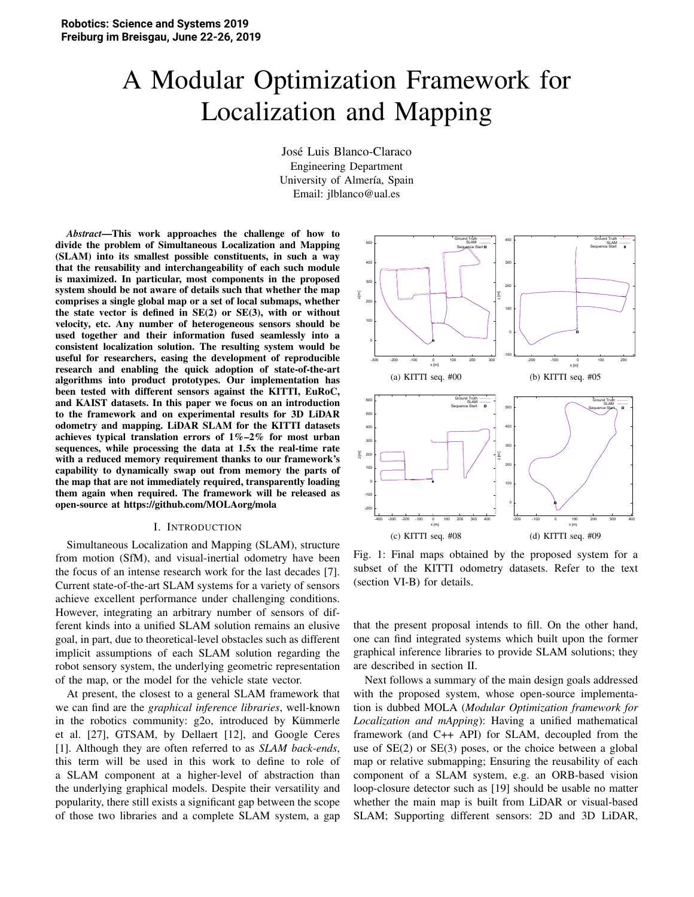# A Modular Optimization Framework for Localization and Mapping

Jose Luis Blanco-Claraco ´ Engineering Department University of Almería, Spain Email: jlblanco@ual.es

*Abstract*—This work approaches the challenge of how to divide the problem of Simultaneous Localization and Mapping (SLAM) into its smallest possible constituents, in such a way that the reusability and interchangeability of each such module is maximized. In particular, most components in the proposed system should be not aware of details such that whether the map comprises a single global map or a set of local submaps, whether the state vector is defined in  $SE(2)$  or  $SE(3)$ , with or without velocity, etc. Any number of heterogeneous sensors should be used together and their information fused seamlessly into a consistent localization solution. The resulting system would be useful for researchers, easing the development of reproducible research and enabling the quick adoption of state-of-the-art algorithms into product prototypes. Our implementation has been tested with different sensors against the KITTI, EuRoC, and KAIST datasets. In this paper we focus on an introduction to the framework and on experimental results for 3D LiDAR odometry and mapping. LiDAR SLAM for the KITTI datasets achieves typical translation errors of  $1\% - 2\%$  for most urban sequences, while processing the data at 1.5x the real-time rate with a reduced memory requirement thanks to our framework's capability to dynamically swap out from memory the parts of the map that are not immediately required, transparently loading them again when required. The framework will be released as open-source at https://github.com/MOLAorg/mola

#### I. INTRODUCTION

Simultaneous Localization and Mapping (SLAM), structure from motion (SfM), and visual-inertial odometry have been the focus of an intense research work for the last decades [7]. Current state-of-the-art SLAM systems for a variety of sensors achieve excellent performance under challenging conditions. However, integrating an arbitrary number of sensors of different kinds into a unified SLAM solution remains an elusive goal, in part, due to theoretical-level obstacles such as different implicit assumptions of each SLAM solution regarding the robot sensory system, the underlying geometric representation of the map, or the model for the vehicle state vector.

At present, the closest to a general SLAM framework that we can find are the *graphical inference libraries*, well-known in the robotics community:  $g2o$ , introduced by Kümmerle et al. [27], GTSAM, by Dellaert [12], and Google Ceres [1]. Although they are often referred to as *SLAM back-ends*, this term will be used in this work to define to role of a SLAM component at a higher-level of abstraction than the underlying graphical models. Despite their versatility and popularity, there still exists a significant gap between the scope of those two libraries and a complete SLAM system, a gap



Fig. 1: Final maps obtained by the proposed system for a subset of the KITTI odometry datasets. Refer to the text (section VI-B) for details.

that the present proposal intends to fill. On the other hand, one can find integrated systems which built upon the former graphical inference libraries to provide SLAM solutions; they are described in section II.

Next follows a summary of the main design goals addressed with the proposed system, whose open-source implementation is dubbed MOLA (*Modular Optimization framework for Localization and mApping*): Having a unified mathematical framework (and C++ API) for SLAM, decoupled from the use of SE(2) or SE(3) poses, or the choice between a global map or relative submapping; Ensuring the reusability of each component of a SLAM system, e.g. an ORB-based vision loop-closure detector such as [19] should be usable no matter whether the main map is built from LiDAR or visual-based SLAM; Supporting different sensors: 2D and 3D LiDAR,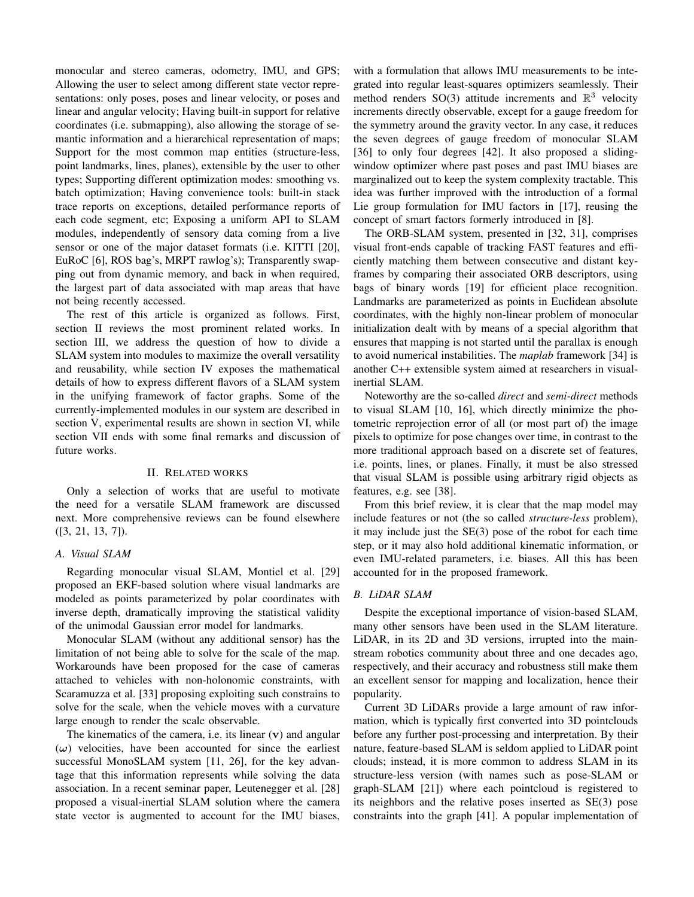monocular and stereo cameras, odometry, IMU, and GPS; Allowing the user to select among different state vector representations: only poses, poses and linear velocity, or poses and linear and angular velocity; Having built-in support for relative coordinates (i.e. submapping), also allowing the storage of semantic information and a hierarchical representation of maps; Support for the most common map entities (structure-less, point landmarks, lines, planes), extensible by the user to other types; Supporting different optimization modes: smoothing vs. batch optimization; Having convenience tools: built-in stack trace reports on exceptions, detailed performance reports of each code segment, etc; Exposing a uniform API to SLAM modules, independently of sensory data coming from a live sensor or one of the major dataset formats (i.e. KITTI [20], EuRoC [6], ROS bag's, MRPT rawlog's); Transparently swapping out from dynamic memory, and back in when required, the largest part of data associated with map areas that have not being recently accessed.

The rest of this article is organized as follows. First, section II reviews the most prominent related works. In section III, we address the question of how to divide a SLAM system into modules to maximize the overall versatility and reusability, while section IV exposes the mathematical details of how to express different flavors of a SLAM system in the unifying framework of factor graphs. Some of the currently-implemented modules in our system are described in section V, experimental results are shown in section VI, while section VII ends with some final remarks and discussion of future works.

## **II. RELATED WORKS**

Only a selection of works that are useful to motivate the need for a versatile SLAM framework are discussed next. More comprehensive reviews can be found elsewhere  $([3, 21, 13, 7]).$ 

## A. Visual SLAM

Regarding monocular visual SLAM, Montiel et al. [29] proposed an EKF-based solution where visual landmarks are modeled as points parameterized by polar coordinates with inverse depth, dramatically improving the statistical validity of the unimodal Gaussian error model for landmarks.

Monocular SLAM (without any additional sensor) has the limitation of not being able to solve for the scale of the map. Workarounds have been proposed for the case of cameras attached to vehicles with non-holonomic constraints, with Scaramuzza et al. [33] proposing exploiting such constrains to solve for the scale, when the vehicle moves with a curvature large enough to render the scale observable.

The kinematics of the camera, i.e. its linear  $(v)$  and angular  $(\omega)$  velocities, have been accounted for since the earliest successful MonoSLAM system [11, 26], for the key advantage that this information represents while solving the data association. In a recent seminar paper, Leutenegger et al. [28] proposed a visual-inertial SLAM solution where the camera state vector is augmented to account for the IMU biases,

with a formulation that allows IMU measurements to be integrated into regular least-squares optimizers seamlessly. Their method renders SO(3) attitude increments and  $\mathbb{R}^3$  velocity increments directly observable, except for a gauge freedom for the symmetry around the gravity vector. In any case, it reduces the seven degrees of gauge freedom of monocular SLAM [36] to only four degrees [42]. It also proposed a slidingwindow optimizer where past poses and past IMU biases are marginalized out to keep the system complexity tractable. This idea was further improved with the introduction of a formal Lie group formulation for IMU factors in [17], reusing the concept of smart factors formerly introduced in [8].

The ORB-SLAM system, presented in [32, 31], comprises visual front-ends capable of tracking FAST features and efficiently matching them between consecutive and distant keyframes by comparing their associated ORB descriptors, using bags of binary words [19] for efficient place recognition. Landmarks are parameterized as points in Euclidean absolute coordinates, with the highly non-linear problem of monocular initialization dealt with by means of a special algorithm that ensures that mapping is not started until the parallax is enough to avoid numerical instabilities. The *maplab* framework [34] is another C++ extensible system aimed at researchers in visualinertial SLAM.

Noteworthy are the so-called *direct* and *semi-direct* methods to visual SLAM [10, 16], which directly minimize the photometric reprojection error of all (or most part of) the image pixels to optimize for pose changes over time, in contrast to the more traditional approach based on a discrete set of features, i.e. points, lines, or planes. Finally, it must be also stressed that visual SLAM is possible using arbitrary rigid objects as features, e.g. see [38].

From this brief review, it is clear that the map model may include features or not (the so called *structure-less* problem), it may include just the  $SE(3)$  pose of the robot for each time step, or it may also hold additional kinematic information, or even IMU-related parameters, i.e. biases. All this has been accounted for in the proposed framework.

## **B.** LiDAR SLAM

Despite the exceptional importance of vision-based SLAM, many other sensors have been used in the SLAM literature. LiDAR, in its 2D and 3D versions, irrupted into the mainstream robotics community about three and one decades ago, respectively, and their accuracy and robustness still make them an excellent sensor for mapping and localization, hence their popularity.

Current 3D LiDARs provide a large amount of raw information, which is typically first converted into 3D pointclouds before any further post-processing and interpretation. By their nature, feature-based SLAM is seldom applied to LiDAR point clouds; instead, it is more common to address SLAM in its structure-less version (with names such as pose-SLAM or graph-SLAM [21]) where each pointcloud is registered to its neighbors and the relative poses inserted as SE(3) pose constraints into the graph [41]. A popular implementation of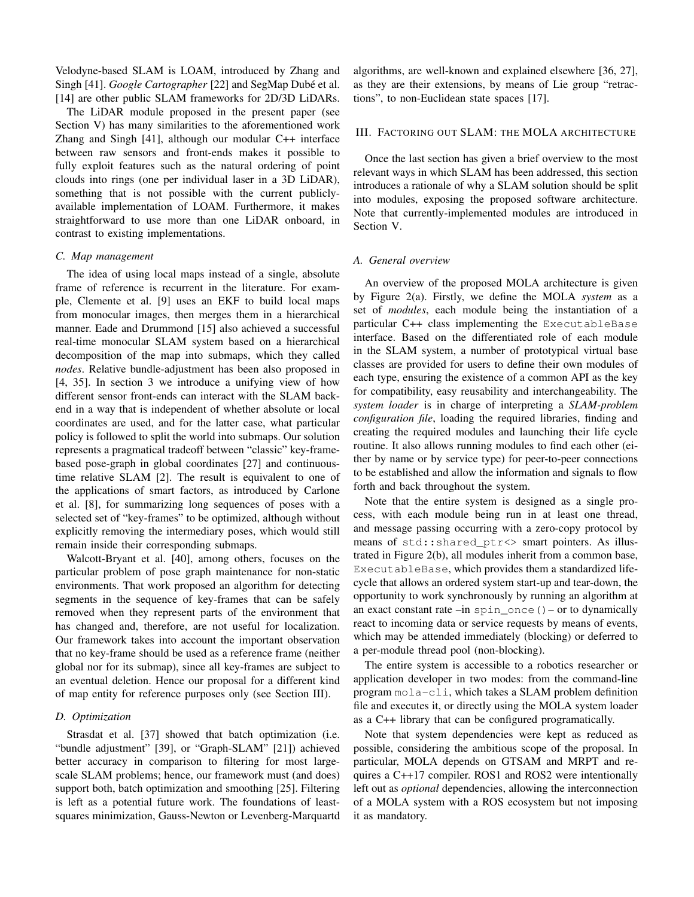Velodyne-based SLAM is LOAM, introduced by Zhang and Singh [41]. Google Cartographer [22] and SegMap Dubé et al. [14] are other public SLAM frameworks for 2D/3D LiDARs.

The LiDAR module proposed in the present paper (see Section V) has many similarities to the aforementioned work Zhang and Singh  $[41]$ , although our modular C++ interface between raw sensors and front-ends makes it possible to fully exploit features such as the natural ordering of point clouds into rings (one per individual laser in a 3D LiDAR), something that is not possible with the current publiclyavailable implementation of LOAM. Furthermore, it makes straightforward to use more than one LiDAR onboard, in contrast to existing implementations.

## C. Map management

The idea of using local maps instead of a single, absolute frame of reference is recurrent in the literature. For example, Clemente et al. [9] uses an EKF to build local maps from monocular images, then merges them in a hierarchical manner. Eade and Drummond [15] also achieved a successful real-time monocular SLAM system based on a hierarchical decomposition of the map into submaps, which they called nodes. Relative bundle-adjustment has been also proposed in [4, 35]. In section 3 we introduce a unifying view of how different sensor front-ends can interact with the SLAM backend in a way that is independent of whether absolute or local coordinates are used, and for the latter case, what particular policy is followed to split the world into submaps. Our solution represents a pragmatical tradeoff between "classic" key-framebased pose-graph in global coordinates [27] and continuoustime relative SLAM [2]. The result is equivalent to one of the applications of smart factors, as introduced by Carlone et al. [8], for summarizing long sequences of poses with a selected set of "key-frames" to be optimized, although without explicitly removing the intermediary poses, which would still remain inside their corresponding submaps.

Walcott-Bryant et al. [40], among others, focuses on the particular problem of pose graph maintenance for non-static environments. That work proposed an algorithm for detecting segments in the sequence of key-frames that can be safely removed when they represent parts of the environment that has changed and, therefore, are not useful for localization. Our framework takes into account the important observation that no key-frame should be used as a reference frame (neither global nor for its submap), since all key-frames are subject to an eventual deletion. Hence our proposal for a different kind of map entity for reference purposes only (see Section III).

## D. Optimization

Strasdat et al. [37] showed that batch optimization (i.e. "bundle adjustment" [39], or "Graph-SLAM" [21]) achieved better accuracy in comparison to filtering for most largescale SLAM problems; hence, our framework must (and does) support both, batch optimization and smoothing [25]. Filtering is left as a potential future work. The foundations of leastsquares minimization, Gauss-Newton or Levenberg-Marquartd algorithms, are well-known and explained elsewhere [36, 27], as they are their extensions, by means of Lie group "retractions", to non-Euclidean state spaces [17].

## III. FACTORING OUT SLAM: THE MOLA ARCHITECTURE

Once the last section has given a brief overview to the most relevant ways in which SLAM has been addressed, this section introduces a rationale of why a SLAM solution should be split into modules, exposing the proposed software architecture. Note that currently-implemented modules are introduced in Section V.

## A. General overview

An overview of the proposed MOLA architecture is given by Figure 2(a). Firstly, we define the MOLA system as a set of *modules*, each module being the instantiation of a particular C++ class implementing the ExecutableBase interface. Based on the differentiated role of each module in the SLAM system, a number of prototypical virtual base classes are provided for users to define their own modules of each type, ensuring the existence of a common API as the key for compatibility, easy reusability and interchangeability. The system loader is in charge of interpreting a SLAM-problem configuration file, loading the required libraries, finding and creating the required modules and launching their life cycle routine. It also allows running modules to find each other (either by name or by service type) for peer-to-peer connections to be established and allow the information and signals to flow forth and back throughout the system.

Note that the entire system is designed as a single process, with each module being run in at least one thread, and message passing occurring with a zero-copy protocol by means of std::shared\_ptr<> smart pointers. As illustrated in Figure 2(b), all modules inherit from a common base, ExecutableBase, which provides them a standardized lifecycle that allows an ordered system start-up and tear-down, the opportunity to work synchronously by running an algorithm at an exact constant rate  $-\text{in spin}$  once () – or to dynamically react to incoming data or service requests by means of events, which may be attended immediately (blocking) or deferred to a per-module thread pool (non-blocking).

The entire system is accessible to a robotics researcher or application developer in two modes: from the command-line program mola-cli, which takes a SLAM problem definition file and executes it, or directly using the MOLA system loader as a C++ library that can be configured programatically.

Note that system dependencies were kept as reduced as possible, considering the ambitious scope of the proposal. In particular, MOLA depends on GTSAM and MRPT and requires a  $C+17$  compiler. ROS1 and ROS2 were intentionally left out as *optional* dependencies, allowing the interconnection of a MOLA system with a ROS ecosystem but not imposing it as mandatory.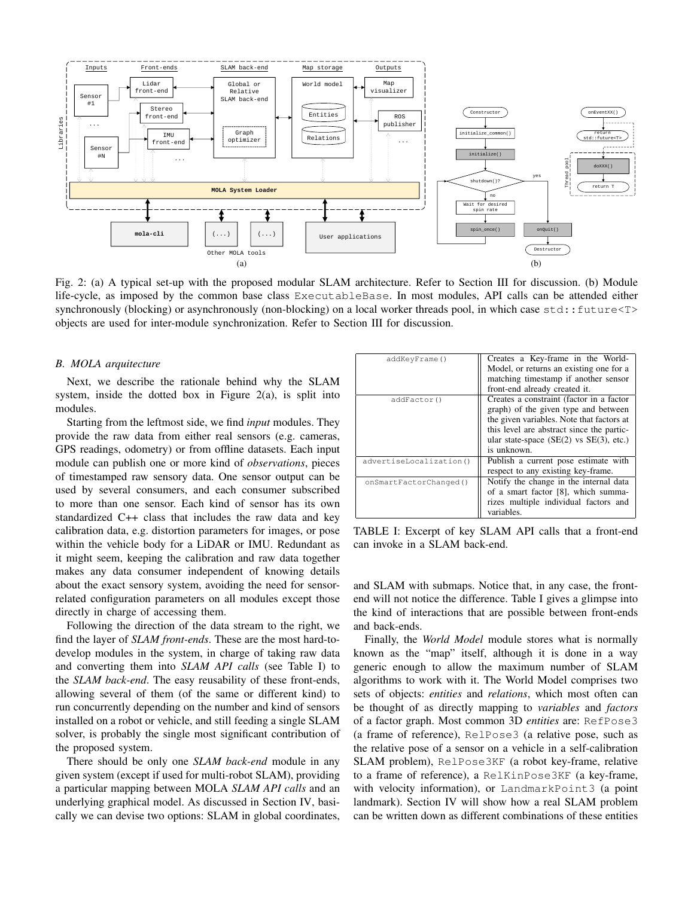

Fig. 2: (a) A typical set-up with the proposed modular SLAM architecture. Refer to Section III for discussion. (b) Module life-cycle, as imposed by the common base class ExecutableBase. In most modules, API calls can be attended either synchronously (blocking) or asynchronously (non-blocking) on a local worker threads pool, in which case std::future<T> objects are used for inter-module synchronization. Refer to Section III for discussion.

#### **B.** MOLA arquitecture

Next, we describe the rationale behind why the SLAM system, inside the dotted box in Figure  $2(a)$ , is split into modules.

Starting from the leftmost side, we find *input* modules. They provide the raw data from either real sensors (e.g. cameras, GPS readings, odometry) or from offline datasets. Each input module can publish one or more kind of *observations*, pieces of timestamped raw sensory data. One sensor output can be used by several consumers, and each consumer subscribed to more than one sensor. Each kind of sensor has its own standardized C++ class that includes the raw data and key calibration data, e.g. distortion parameters for images, or pose within the vehicle body for a LiDAR or IMU. Redundant as it might seem, keeping the calibration and raw data together makes any data consumer independent of knowing details about the exact sensory system, avoiding the need for sensorrelated configuration parameters on all modules except those directly in charge of accessing them.

Following the direction of the data stream to the right, we find the layer of *SLAM front-ends*. These are the most hard-todevelop modules in the system, in charge of taking raw data and converting them into SLAM API calls (see Table I) to the SLAM back-end. The easy reusability of these front-ends, allowing several of them (of the same or different kind) to run concurrently depending on the number and kind of sensors installed on a robot or vehicle, and still feeding a single SLAM solver, is probably the single most significant contribution of the proposed system.

There should be only one *SLAM back-end* module in any given system (except if used for multi-robot SLAM), providing a particular mapping between MOLA SLAM API calls and an underlying graphical model. As discussed in Section IV, basically we can devise two options: SLAM in global coordinates,

| addKeyFrame()           | Creates a Key-frame in the World-<br>Model, or returns an existing one for a<br>matching timestamp if another sensor |
|-------------------------|----------------------------------------------------------------------------------------------------------------------|
|                         | front-end already created it.                                                                                        |
| addFactor()             | Creates a constraint (factor in a factor<br>graph) of the given type and between                                     |
|                         | the given variables. Note that factors at                                                                            |
|                         | this level are abstract since the partic-                                                                            |
|                         | ular state-space $(SE(2)$ vs $SE(3)$ , etc.)                                                                         |
|                         | is unknown.                                                                                                          |
| advertiseLocalization() | Publish a current pose estimate with                                                                                 |
|                         | respect to any existing key-frame.                                                                                   |
| onSmartFactorChanged()  | Notify the change in the internal data                                                                               |
|                         | of a smart factor [8], which summa-                                                                                  |
|                         | rizes multiple individual factors and                                                                                |
|                         | variables.                                                                                                           |

TABLE I: Excerpt of key SLAM API calls that a front-end can invoke in a SLAM back-end.

and SLAM with submaps. Notice that, in any case, the frontend will not notice the difference. Table I gives a glimpse into the kind of interactions that are possible between front-ends and back-ends.

Finally, the *World Model* module stores what is normally known as the "map" itself, although it is done in a way generic enough to allow the maximum number of SLAM algorithms to work with it. The World Model comprises two sets of objects: *entities* and *relations*, which most often can be thought of as directly mapping to *variables* and *factors* of a factor graph. Most common 3D entities are: RefPose3 (a frame of reference), RelPose3 (a relative pose, such as the relative pose of a sensor on a vehicle in a self-calibration SLAM problem), RelPose3KF (a robot key-frame, relative to a frame of reference), a RelKinPose3KF (a key-frame, with velocity information), or LandmarkPoint3 (a point landmark). Section IV will show how a real SLAM problem can be written down as different combinations of these entities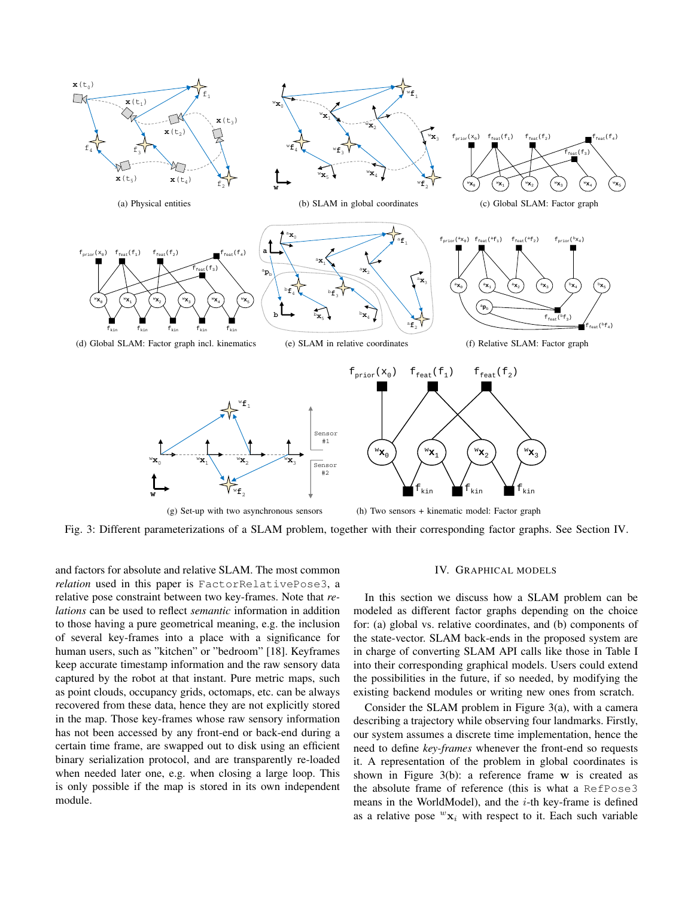

Fig. 3: Different parameterizations of a SLAM problem, together with their corresponding factor graphs. See Section IV.

and factors for absolute and relative SLAM. The most common relation used in this paper is FactorRelativePose3, a relative pose constraint between two key-frames. Note that relations can be used to reflect semantic information in addition to those having a pure geometrical meaning, e.g. the inclusion of several key-frames into a place with a significance for human users, such as "kitchen" or "bedroom" [18]. Keyframes keep accurate timestamp information and the raw sensory data captured by the robot at that instant. Pure metric maps, such as point clouds, occupancy grids, octomaps, etc. can be always recovered from these data, hence they are not explicitly stored in the map. Those key-frames whose raw sensory information has not been accessed by any front-end or back-end during a certain time frame, are swapped out to disk using an efficient binary serialization protocol, and are transparently re-loaded when needed later one, e.g. when closing a large loop. This is only possible if the map is stored in its own independent module.

# IV. GRAPHICAL MODELS

In this section we discuss how a SLAM problem can be modeled as different factor graphs depending on the choice for: (a) global vs. relative coordinates, and (b) components of the state-vector. SLAM back-ends in the proposed system are in charge of converting SLAM API calls like those in Table I into their corresponding graphical models. Users could extend the possibilities in the future, if so needed, by modifying the existing backend modules or writing new ones from scratch.

Consider the SLAM problem in Figure  $3(a)$ , with a camera describing a trajectory while observing four landmarks. Firstly, our system assumes a discrete time implementation, hence the need to define key-frames whenever the front-end so requests it. A representation of the problem in global coordinates is shown in Figure  $3(b)$ : a reference frame w is created as the absolute frame of reference (this is what a RefPose3 means in the WorldModel), and the  $i$ -th key-frame is defined as a relative pose  ${}^w\mathbf{x}_i$  with respect to it. Each such variable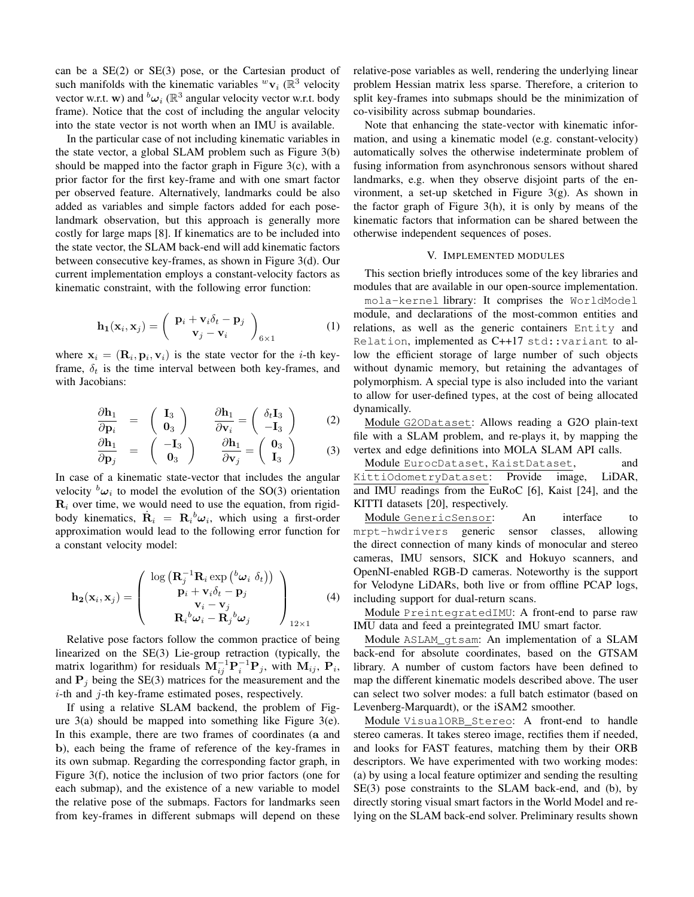can be a  $SE(2)$  or  $SE(3)$  pose, or the Cartesian product of such manifolds with the kinematic variables  ${}^w\mathbf{v}_i$  ( $\mathbb{R}^3$  velocity vector w.r.t. w) and  ${}^b\omega_i$  ( $\mathbb{R}^3$  angular velocity vector w.r.t. body frame). Notice that the cost of including the angular velocity into the state vector is not worth when an IMU is available.

In the particular case of not including kinematic variables in the state vector, a global SLAM problem such as Figure 3(b) should be mapped into the factor graph in Figure  $3(c)$ , with a prior factor for the first key-frame and with one smart factor per observed feature. Alternatively, landmarks could be also added as variables and simple factors added for each poselandmark observation, but this approach is generally more costly for large maps [8]. If kinematics are to be included into the state vector, the SLAM back-end will add kinematic factors between consecutive key-frames, as shown in Figure 3(d). Our current implementation employs a constant-velocity factors as kinematic constraint, with the following error function:

$$
\mathbf{h}_{1}(\mathbf{x}_{i}, \mathbf{x}_{j}) = \begin{pmatrix} \mathbf{p}_{i} + \mathbf{v}_{i} \delta_{t} - \mathbf{p}_{j} \\ \mathbf{v}_{j} - \mathbf{v}_{i} \end{pmatrix}_{6 \times 1}
$$
 (1)

where  $x_i = (R_i, p_i, v_i)$  is the state vector for the *i*-th keyframe,  $\delta_t$  is the time interval between both key-frames, and with Jacobians:

$$
\frac{\partial \mathbf{h}_1}{\partial \mathbf{p}_i} = \begin{pmatrix} \mathbf{I}_3 \\ \mathbf{0}_3 \end{pmatrix} \qquad \frac{\partial \mathbf{h}_1}{\partial \mathbf{v}_i} = \begin{pmatrix} \delta_t \mathbf{I}_3 \\ -\mathbf{I}_3 \end{pmatrix} \tag{2}
$$

$$
\frac{\partial \mathbf{h}_1}{\partial \mathbf{p}_j} = \begin{pmatrix} -\mathbf{I}_3 \\ \mathbf{0}_3 \end{pmatrix} \qquad \frac{\partial \mathbf{h}_1}{\partial \mathbf{v}_j} = \begin{pmatrix} \mathbf{0}_3 \\ \mathbf{I}_3 \end{pmatrix} \qquad (3)
$$

In case of a kinematic state-vector that includes the angular velocity  ${}^b\omega_i$  to model the evolution of the SO(3) orientation  $\mathbf{R}_i$  over time, we would need to use the equation, from rigidbody kinematics,  $\dot{\mathbf{R}}_i = \mathbf{R}_i{}^b \boldsymbol{\omega}_i$ , which using a first-order approximation would lead to the following error function for a constant velocity model:

$$
\mathbf{h}_{2}(\mathbf{x}_{i}, \mathbf{x}_{j}) = \begin{pmatrix} \log \left( \mathbf{R}_{j}^{-1} \mathbf{R}_{i} \exp \left( \frac{b_{\boldsymbol{\omega}_{i}}}{\delta_{t}} \right) \right) \\ \mathbf{p}_{i} + \mathbf{v}_{i} \delta_{t} - \mathbf{p}_{j} \\ \mathbf{v}_{i} - \mathbf{v}_{j} \\ \mathbf{R}_{i}{}^{b_{\boldsymbol{\omega}_{i}} - \mathbf{R}_{j}{}^{b_{\boldsymbol{\omega}_{j}}} \end{pmatrix}_{12 \times 1} \tag{4}
$$

Relative pose factors follow the common practice of being linearized on the SE(3) Lie-group retraction (typically, the matrix logarithm) for residuals  $M_{ij}^{-1}P_i^{-1}P_j$ , with  $M_{ij}$ ,  $P_i$ , and  $P_i$  being the SE(3) matrices for the measurement and the  $i$ -th and  $j$ -th key-frame estimated poses, respectively.

If using a relative SLAM backend, the problem of Figure  $3(a)$  should be mapped into something like Figure  $3(e)$ . In this example, there are two frames of coordinates (a and b), each being the frame of reference of the key-frames in its own submap. Regarding the corresponding factor graph, in Figure  $3(f)$ , notice the inclusion of two prior factors (one for each submap), and the existence of a new variable to model the relative pose of the submaps. Factors for landmarks seen from key-frames in different submaps will depend on these relative-pose variables as well, rendering the underlying linear problem Hessian matrix less sparse. Therefore, a criterion to split key-frames into submaps should be the minimization of co-visibility across submap boundaries.

Note that enhancing the state-vector with kinematic information, and using a kinematic model (e.g. constant-velocity) automatically solves the otherwise indeterminate problem of fusing information from asynchronous sensors without shared landmarks, e.g. when they observe disjoint parts of the environment, a set-up sketched in Figure  $3(g)$ . As shown in the factor graph of Figure  $3(h)$ , it is only by means of the kinematic factors that information can be shared between the otherwise independent sequences of poses.

## V. IMPLEMENTED MODULES

This section briefly introduces some of the key libraries and modules that are available in our open-source implementation.

mola-kernel library: It comprises the WorldModel module, and declarations of the most-common entities and relations, as well as the generic containers Entity and Relation, implemented as C++17 std:: variant to allow the efficient storage of large number of such objects without dynamic memory, but retaining the advantages of polymorphism. A special type is also included into the variant to allow for user-defined types, at the cost of being allocated dynamically.

Module G20Dataset: Allows reading a G2O plain-text file with a SLAM problem, and re-plays it, by mapping the vertex and edge definitions into MOLA SLAM API calls.

Module EurocDataset, KaistDataset, and KittiOdometryDataset: Provide image, LiDAR, and IMU readings from the EuRoC [6], Kaist [24], and the KITTI datasets [20], respectively.

Module GenericSensor: An interface to mrpt-hwdrivers generic sensor classes, allowing the direct connection of many kinds of monocular and stereo cameras, IMU sensors, SICK and Hokuyo scanners, and OpenNI-enabled RGB-D cameras. Noteworthy is the support for Velodyne LiDARs, both live or from offline PCAP logs, including support for dual-return scans.

Module PreintegratedIMU: A front-end to parse raw IMU data and feed a preintegrated IMU smart factor.

Module ASLAM\_qtsam: An implementation of a SLAM back-end for absolute coordinates, based on the GTSAM library. A number of custom factors have been defined to map the different kinematic models described above. The user can select two solver modes: a full batch estimator (based on Levenberg-Marquardt), or the iSAM2 smoother.

Module VisualORB\_Stereo: A front-end to handle stereo cameras. It takes stereo image, rectifies them if needed, and looks for FAST features, matching them by their ORB descriptors. We have experimented with two working modes: (a) by using a local feature optimizer and sending the resulting SE(3) pose constraints to the SLAM back-end, and (b), by directly storing visual smart factors in the World Model and relying on the SLAM back-end solver. Preliminary results shown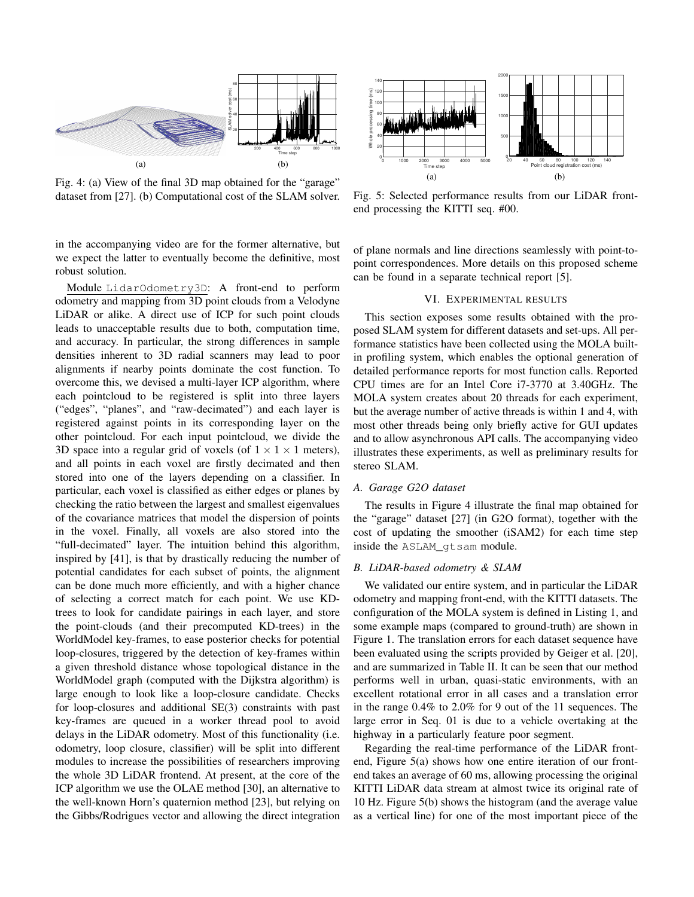

Fig. 4: (a) View of the final 3D map obtained for the "garage" dataset from [27]. (b) Computational cost of the SLAM solver.

in the accompanying video are for the former alternative, but we expect the latter to eventually become the definitive, most robust solution.

Module LidarOdometry3D: A front-end to perform odometry and mapping from 3D point clouds from a Velodyne LiDAR or alike. A direct use of ICP for such point clouds leads to unacceptable results due to both, computation time, and accuracy. In particular, the strong differences in sample densities inherent to 3D radial scanners may lead to poor alignments if nearby points dominate the cost function. To overcome this, we devised a multi-layer ICP algorithm, where each pointcloud to be registered is split into three layers ("edges", "planes", and "raw-decimated") and each layer is registered against points in its corresponding layer on the other pointcloud. For each input pointcloud, we divide the 3D space into a regular grid of voxels (of  $1 \times 1 \times 1$  meters), and all points in each voxel are firstly decimated and then stored into one of the layers depending on a classifier. In particular, each voxel is classified as either edges or planes by checking the ratio between the largest and smallest eigenvalues of the covariance matrices that model the dispersion of points in the voxel. Finally, all voxels are also stored into the "full-decimated" layer. The intuition behind this algorithm, inspired by [41], is that by drastically reducing the number of potential candidates for each subset of points, the alignment can be done much more efficiently, and with a higher chance of selecting a correct match for each point. We use KDtrees to look for candidate pairings in each layer, and store the point-clouds (and their precomputed KD-trees) in the WorldModel key-frames, to ease posterior checks for potential loop-closures, triggered by the detection of key-frames within a given threshold distance whose topological distance in the WorldModel graph (computed with the Dijkstra algorithm) is large enough to look like a loop-closure candidate. Checks for loop-closures and additional  $SE(3)$  constraints with past key-frames are queued in a worker thread pool to avoid delays in the LiDAR odometry. Most of this functionality (i.e. odometry, loop closure, classifier) will be split into different modules to increase the possibilities of researchers improving the whole 3D LiDAR frontend. At present, at the core of the ICP algorithm we use the OLAE method [30], an alternative to the well-known Horn's quaternion method [23], but relying on the Gibbs/Rodrigues vector and allowing the direct integration



Fig. 5: Selected performance results from our LiDAR frontend processing the KITTI seq. #00.

of plane normals and line directions seamlessly with point-topoint correspondences. More details on this proposed scheme can be found in a separate technical report [5].

## VI. EXPERIMENTAL RESULTS

This section exposes some results obtained with the proposed SLAM system for different datasets and set-ups. All performance statistics have been collected using the MOLA builtin profiling system, which enables the optional generation of detailed performance reports for most function calls. Reported CPU times are for an Intel Core i7-3770 at 3.40GHz. The MOLA system creates about 20 threads for each experiment, but the average number of active threads is within 1 and 4, with most other threads being only briefly active for GUI updates and to allow asynchronous API calls. The accompanying video illustrates these experiments, as well as preliminary results for stereo SLAM.

## A. Garage G2O dataset

The results in Figure 4 illustrate the final map obtained for the "garage" dataset [27] (in G2O format), together with the cost of updating the smoother (iSAM2) for each time step inside the ASLAM\_gtsam module.

## B. LiDAR-based odometry & SLAM

We validated our entire system, and in particular the LiDAR odometry and mapping front-end, with the KITTI datasets. The configuration of the MOLA system is defined in Listing 1, and some example maps (compared to ground-truth) are shown in Figure 1. The translation errors for each dataset sequence have been evaluated using the scripts provided by Geiger et al. [20], and are summarized in Table II. It can be seen that our method performs well in urban, quasi-static environments, with an excellent rotational error in all cases and a translation error in the range  $0.4\%$  to  $2.0\%$  for 9 out of the 11 sequences. The large error in Seq. 01 is due to a vehicle overtaking at the highway in a particularly feature poor segment.

Regarding the real-time performance of the LiDAR frontend, Figure  $5(a)$  shows how one entire iteration of our frontend takes an average of 60 ms, allowing processing the original KITTI LiDAR data stream at almost twice its original rate of 10 Hz. Figure 5(b) shows the histogram (and the average value as a vertical line) for one of the most important piece of the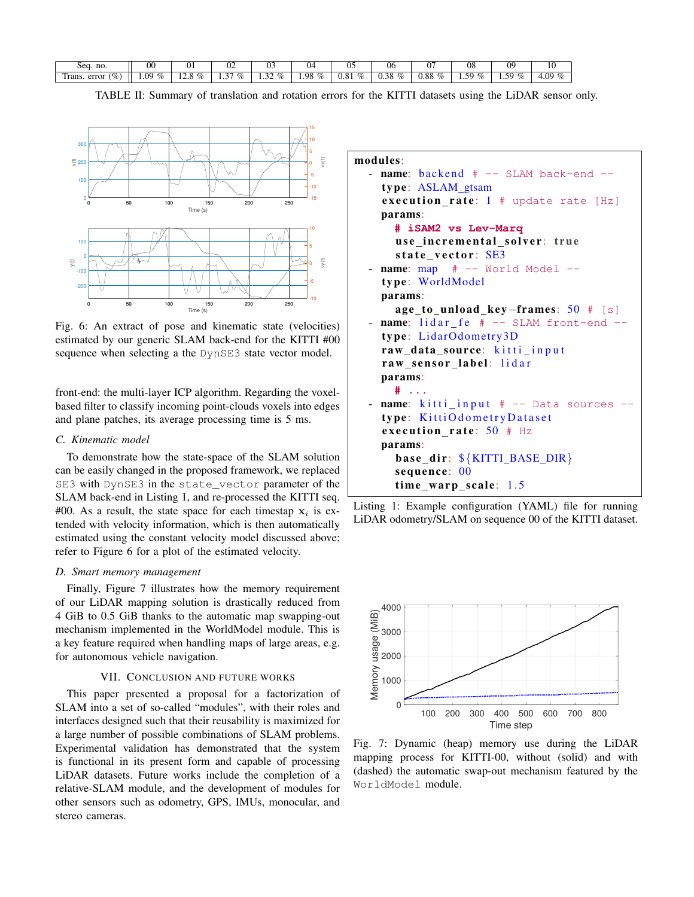| no.<br>sea.                 | 00                               | UΙ                                          | $\sim$<br>UΖ                                                  | . .<br>υ.                                            | U4           | <br>ັ້       | UC                          | $\sim$ $\sim$<br>U | 08                                                  | ΩC<br>v.                                            | $\mathbf{r}$               |
|-----------------------------|----------------------------------|---------------------------------------------|---------------------------------------------------------------|------------------------------------------------------|--------------|--------------|-----------------------------|--------------------|-----------------------------------------------------|-----------------------------------------------------|----------------------------|
| $\%$<br>m<br>error<br>rans. | $\sim$<br>ng<br>$\%$<br>$\cdots$ | 01.<br>. .<br><br>$^{\prime\prime}$<br>⊥∠.∪ | $\sim$<br>$\sim$<br>$\mathcal{C}/\mathcal{C}$<br>$\cdot\cdot$ | $O_{\ell}$<br>$\sim$<br>. . <i>. .</i> .<br>$\cdots$ | 1.98<br>$\%$ | 0.81<br>$\%$ | $\%$<br>0.38<br><u>v.ve</u> | -<br>0.88<br>$\%$  | 50<br>.<br>$O_{\mathcal{L}}$<br>$\prime\prime$<br>. | $\sim$<br>$\mathcal{O}_{\mathcal{O}}$<br>$\sim$<br> | $\Omega$<br>$\sim$<br>r.v. |

TABLE II: Summary of translation and rotation errors for the KITTI datasets using the LiDAR sensor only.



Fig. 6: An extract of pose and kinematic state (velocities) estimated by our generic SLAM back-end for the KITTI #00 sequence when selecting a the DynSE3 state vector model.

front-end: the multi-layer ICP algorithm. Regarding the voxelbased filter to classify incoming point-clouds voxels into edges and plane patches, its average processing time is 5 ms.

## C. Kinematic model

To demonstrate how the state-space of the SLAM solution can be easily changed in the proposed framework, we replaced SE3 with DynSE3 in the state\_vector parameter of the SLAM back-end in Listing 1, and re-processed the KITTI seq. #00. As a result, the state space for each timestap  $x_i$  is extended with velocity information, which is then automatically estimated using the constant velocity model discussed above; refer to Figure 6 for a plot of the estimated velocity.

# D. Smart memory management

Finally, Figure 7 illustrates how the memory requirement of our LiDAR mapping solution is drastically reduced from 4 GiB to 0.5 GiB thanks to the automatic map swapping-out mechanism implemented in the WorldModel module. This is a key feature required when handling maps of large areas, e.g. for autonomous vehicle navigation.

# VII. CONCLUSION AND FUTURE WORKS

This paper presented a proposal for a factorization of SLAM into a set of so-called "modules", with their roles and interfaces designed such that their reusability is maximized for a large number of possible combinations of SLAM problems. Experimental validation has demonstrated that the system is functional in its present form and capable of processing LiDAR datasets. Future works include the completion of a relative-SLAM module, and the development of modules for other sensors such as odometry, GPS, IMUs, monocular, and stereo cameras.

#### modules:

name: backend  $#$  -- SLAM back-end -type: ASLAM\_gtsam execution\_rate:  $1$  # update rate [Hz] params: # iSAM2 vs Lev-Marq use\_incremental\_solver: true state\_vector: SE3  $name: map$   $#$   $--$  World Model  $-$ type: WorldModel params:  $age_tou nload_key-frame: 50 # [s]$ </u> name: lidar\_fe # -- SLAM front-end -type: LidarOdometry3D raw\_data\_source: kitti\_input raw\_sensor\_label: lidar params: #  $\sim$  . . . name: kitti\_input # -- Data sources type: KittiOdometryDataset execution\_rate:  $50$  # Hz params: base\_dir: \${KITTI\_BASE\_DIR} sequence: 00 time\_warp\_scale: 1.5





Fig. 7: Dynamic (heap) memory use during the LiDAR mapping process for KITTI-00, without (solid) and with (dashed) the automatic swap-out mechanism featured by the WorldModel module.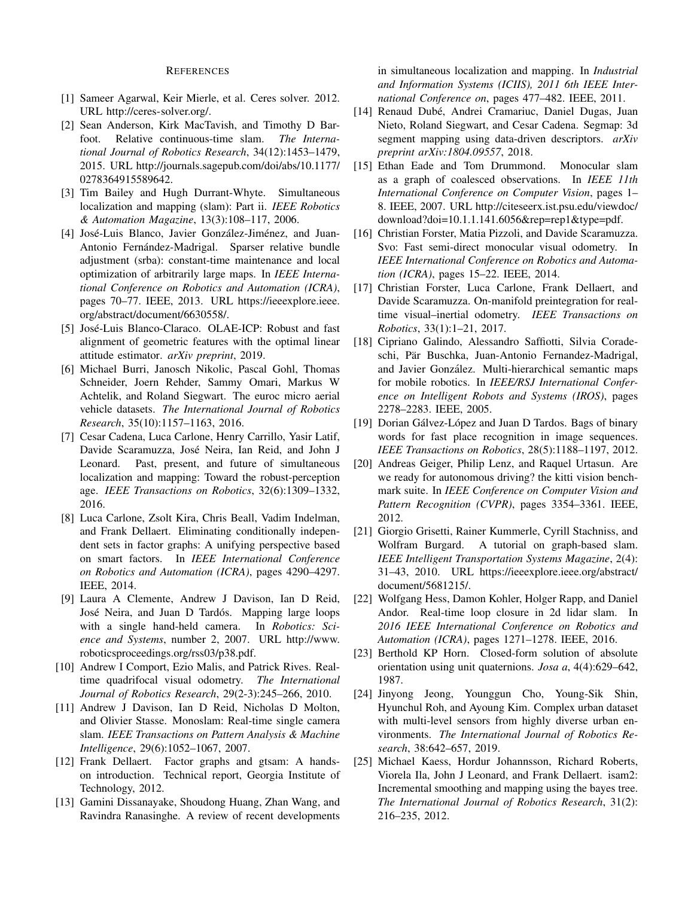#### **REFERENCES**

- [1] Sameer Agarwal, Keir Mierle, et al. Ceres solver. 2012. URL http://ceres-solver.org/.
- [2] Sean Anderson, Kirk MacTavish, and Timothy D Barfoot. Relative continuous-time slam. The International Journal of Robotics Research, 34(12):1453-1479, 2015. URL http://journals.sagepub.com/doi/abs/10.1177/ 0278364915589642.
- [3] Tim Bailey and Hugh Durrant-Whyte. Simultaneous localization and mapping (slam): Part ii. IEEE Robotics & Automation Magazine, 13(3):108-117, 2006.
- [4] José-Luis Blanco, Javier González-Jiménez, and Juan-Antonio Fernández-Madrigal. Sparser relative bundle adjustment (srba): constant-time maintenance and local optimization of arbitrarily large maps. In IEEE International Conference on Robotics and Automation (ICRA), pages 70–77. IEEE, 2013. URL https://ieeexplore.ieee. org/abstract/document/6630558/.
- [5] José-Luis Blanco-Claraco. OLAE-ICP: Robust and fast alignment of geometric features with the optimal linear attitude estimator. arXiv preprint, 2019.
- [6] Michael Burri, Janosch Nikolic, Pascal Gohl, Thomas Schneider, Joern Rehder, Sammy Omari, Markus W Achtelik, and Roland Siegwart. The euroc micro aerial vehicle datasets. The International Journal of Robotics Research, 35(10):1157-1163, 2016.
- [7] Cesar Cadena, Luca Carlone, Henry Carrillo, Yasir Latif, Davide Scaramuzza, José Neira, Ian Reid, and John J Leonard. Past, present, and future of simultaneous localization and mapping: Toward the robust-perception age. IEEE Transactions on Robotics, 32(6):1309-1332, 2016.
- [8] Luca Carlone, Zsolt Kira, Chris Beall, Vadim Indelman, and Frank Dellaert. Eliminating conditionally independent sets in factor graphs: A unifying perspective based on smart factors. In IEEE International Conference on Robotics and Automation (ICRA), pages 4290-4297. IEEE, 2014.
- [9] Laura A Clemente, Andrew J Davison, Ian D Reid, José Neira, and Juan D Tardós. Mapping large loops with a single hand-held camera. In Robotics: Science and Systems, number 2, 2007. URL http://www. roboticsproceedings.org/rss03/p38.pdf.
- [10] Andrew I Comport, Ezio Malis, and Patrick Rives. Realtime quadrifocal visual odometry. The International Journal of Robotics Research, 29(2-3):245–266, 2010.
- [11] Andrew J Davison, Ian D Reid, Nicholas D Molton, and Olivier Stasse. Monoslam: Real-time single camera slam. IEEE Transactions on Pattern Analysis & Machine Intelligence, 29(6):1052-1067, 2007.
- [12] Frank Dellaert. Factor graphs and gtsam: A handson introduction. Technical report, Georgia Institute of Technology, 2012.
- [13] Gamini Dissanayake, Shoudong Huang, Zhan Wang, and Ravindra Ranasinghe. A review of recent developments

in simultaneous localization and mapping. In *Industrial* and Information Systems (ICIIS), 2011 6th IEEE International Conference on, pages 477-482. IEEE, 2011.

- [14] Renaud Dubé, Andrei Cramariuc, Daniel Dugas, Juan Nieto, Roland Siegwart, and Cesar Cadena. Segmap: 3d segment mapping using data-driven descriptors. arXiv preprint arXiv:1804.09557, 2018.
- $[15]$ Ethan Eade and Tom Drummond. Monocular slam as a graph of coalesced observations. In IEEE 11th International Conference on Computer Vision, pages 1-8. IEEE, 2007. URL http://citeseerx.ist.psu.edu/viewdoc/ download?doi= $10.1.1.141.6056$ &rep=rep1&type=pdf.
- [16] Christian Forster, Matia Pizzoli, and Davide Scaramuzza. Svo: Fast semi-direct monocular visual odometry. In IEEE International Conference on Robotics and Automation (ICRA), pages 15-22. IEEE, 2014.
- $[17]$ Christian Forster, Luca Carlone, Frank Dellaert, and Davide Scaramuzza. On-manifold preintegration for realtime visual-inertial odometry. IEEE Transactions on Robotics, 33(1):1-21, 2017.
- [18] Cipriano Galindo, Alessandro Saffiotti, Silvia Coradeschi, Pär Buschka, Juan-Antonio Fernandez-Madrigal, and Javier González. Multi-hierarchical semantic maps for mobile robotics. In IEEE/RSJ International Conference on Intelligent Robots and Systems (IROS), pages 2278-2283. IEEE, 2005.
- [19] Dorian Gálvez-López and Juan D Tardos. Bags of binary words for fast place recognition in image sequences. IEEE Transactions on Robotics, 28(5):1188-1197, 2012.
- [20] Andreas Geiger, Philip Lenz, and Raquel Urtasun. Are we ready for autonomous driving? the kitti vision benchmark suite. In IEEE Conference on Computer Vision and Pattern Recognition (CVPR), pages 3354-3361. IEEE, 2012.
- [21] Giorgio Grisetti, Rainer Kummerle, Cyrill Stachniss, and A tutorial on graph-based slam. Wolfram Burgard. IEEE Intelligent Transportation Systems Magazine, 2(4): 31-43, 2010. URL https://ieeexplore.ieee.org/abstract/ document/5681215/.
- [22] Wolfgang Hess, Damon Kohler, Holger Rapp, and Daniel Andor. Real-time loop closure in 2d lidar slam. In 2016 IEEE International Conference on Robotics and Automation (ICRA), pages 1271-1278. IEEE, 2016.
- [23] Berthold KP Horn. Closed-form solution of absolute orientation using unit quaternions. Josa a, 4(4):629-642, 1987.
- [24] Jinyong Jeong, Younggun Cho, Young-Sik Shin, Hyunchul Roh, and Ayoung Kim. Complex urban dataset with multi-level sensors from highly diverse urban environments. The International Journal of Robotics Research, 38:642-657, 2019.
- [25] Michael Kaess, Hordur Johannsson, Richard Roberts, Viorela Ila, John J Leonard, and Frank Dellaert. isam2: Incremental smoothing and mapping using the bayes tree. The International Journal of Robotics Research, 31(2): 216-235, 2012.